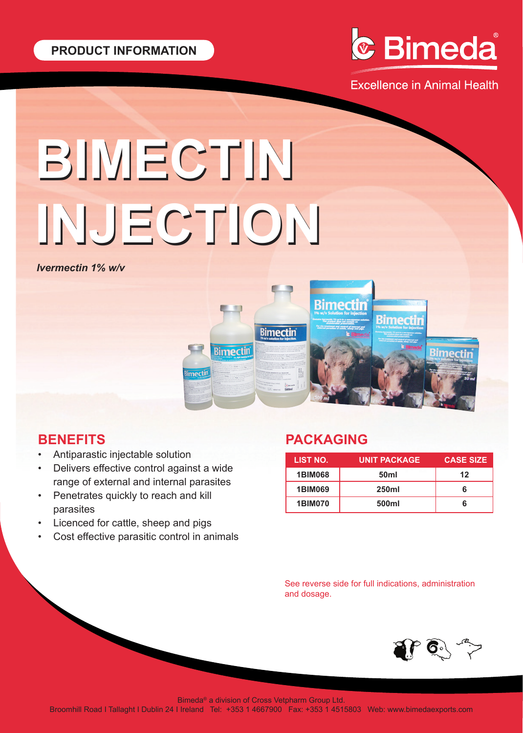

**Excellence in Animal Health** 

# **BIMECTIN BIMECTIN INJECTION INJECTION**

O

**Bimectin** 

**Bimectin** 

*Ivermectin 1% w/v*



- Antiparastic injectable solution
- Delivers effective control against a wide range of external and internal parasites
- Penetrates quickly to reach and kill parasites
- Licenced for cattle, sheep and pigs
- Cost effective parasitic control in animals

## **PACKAGING**

**Bimectin** 

Counsel<sup>e</sup><br>500ml

| LIST NO.       | <b>UNIT PACKAGE</b> | <b>CASE SIZE</b> |
|----------------|---------------------|------------------|
| <b>1BIM068</b> | 50 <sub>ml</sub>    | 12               |
| <b>1BIM069</b> | <b>250ml</b>        | ห                |
| <b>1BIM070</b> | 500ml               |                  |

Rime

See reverse side for full indications, administration and dosage.



Bimeda® a division of Cross Vetpharm Group Ltd.

Broomhill Road I Tallaght I Dublin 24 I Ireland Tel: +353 1 4667900 Fax: +353 1 4515803 Web: www.bimedaexports.com